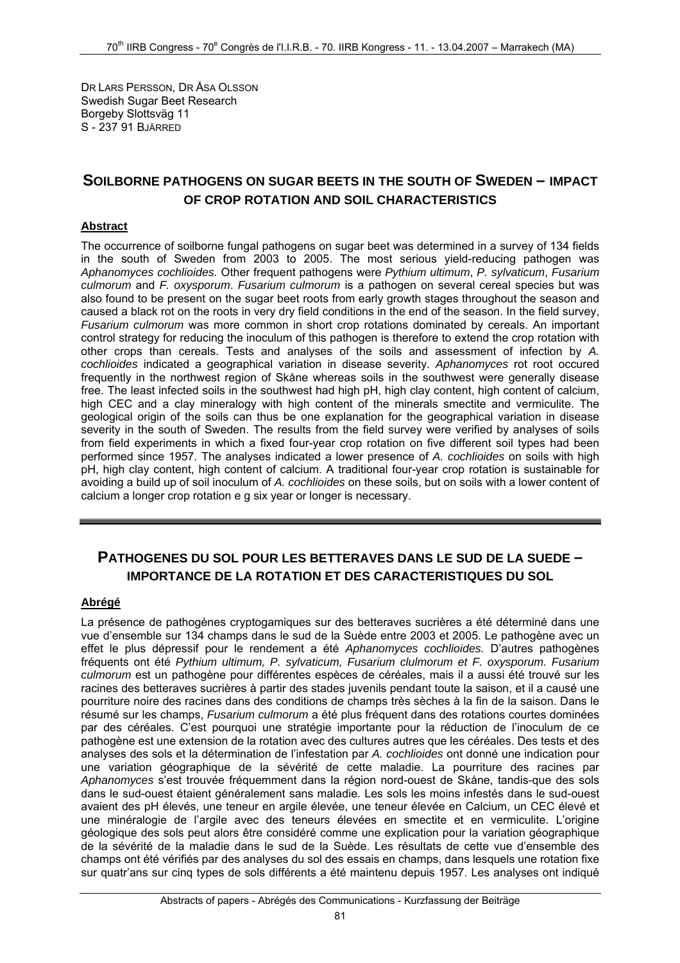DR LARS PERSSON, DR ÅSA OLSSON Swedish Sugar Beet Research Borgeby Slottsväg 11 S - 237 91 BJÄRRED

# **SOILBORNE PATHOGENS ON SUGAR BEETS IN THE SOUTH OF SWEDEN – IMPACT OF CROP ROTATION AND SOIL CHARACTERISTICS**

### **Abstract**

The occurrence of soilborne fungal pathogens on sugar beet was determined in a survey of 134 fields in the south of Sweden from 2003 to 2005. The most serious yield-reducing pathogen was *Aphanomyces cochlioides.* Other frequent pathogens were *Pythium ultimum*, *P. sylvaticum*, *Fusarium culmorum* and *F. oxysporum*. *Fusarium culmorum* is a pathogen on several cereal species but was also found to be present on the sugar beet roots from early growth stages throughout the season and caused a black rot on the roots in very dry field conditions in the end of the season. In the field survey, *Fusarium culmorum* was more common in short crop rotations dominated by cereals. An important control strategy for reducing the inoculum of this pathogen is therefore to extend the crop rotation with other crops than cereals. Tests and analyses of the soils and assessment of infection by *A. cochlioides* indicated a geographical variation in disease severity. *Aphanomyces* rot root occured frequently in the northwest region of Skåne whereas soils in the southwest were generally disease free. The least infected soils in the southwest had high pH, high clay content, high content of calcium, high CEC and a clay mineralogy with high content of the minerals smectite and vermiculite. The geological origin of the soils can thus be one explanation for the geographical variation in disease severity in the south of Sweden. The results from the field survey were verified by analyses of soils from field experiments in which a fixed four-year crop rotation on five different soil types had been performed since 1957. The analyses indicated a lower presence of *A. cochlioides* on soils with high pH, high clay content, high content of calcium. A traditional four-year crop rotation is sustainable for avoiding a build up of soil inoculum of *A. cochlioides* on these soils, but on soils with a lower content of calcium a longer crop rotation e g six year or longer is necessary.

# **PATHOGENES DU SOL POUR LES BETTERAVES DANS LE SUD DE LA SUEDE – IMPORTANCE DE LA ROTATION ET DES CARACTERISTIQUES DU SOL**

#### **Abrégé**

La présence de pathogènes cryptogamiques sur des betteraves sucrières a été déterminé dans une vue d'ensemble sur 134 champs dans le sud de la Suède entre 2003 et 2005. Le pathogène avec un effet le plus dépressif pour le rendement a été *Aphanomyces cochlioides.* D'autres pathogènes fréquents ont été *Pythium ultimum, P. sylvaticum, Fusarium clulmorum et F. oxysporum. Fusarium culmorum* est un pathogène pour différentes espèces de céréales, mais il a aussi été trouvé sur les racines des betteraves sucrières à partir des stades juvenils pendant toute la saison, et il a causé une pourriture noire des racines dans des conditions de champs très sèches à la fin de la saison. Dans le résumé sur les champs, *Fusarium culmorum* a été plus fréquent dans des rotations courtes dominées par des céréales. C'est pourquoi une stratégie importante pour la réduction de l'inoculum de ce pathogène est une extension de la rotation avec des cultures autres que les céréales. Des tests et des analyses des sols et la détermination de l'infestation par *A. cochlioides* ont donné une indication pour une variation géographique de la sévérité de cette maladie. La pourriture des racines par *Aphanomyces* s'est trouvée fréquemment dans la région nord-ouest de Skåne, tandis-que des sols dans le sud-ouest étaient généralement sans maladie. Les sols les moins infestés dans le sud-ouest avaient des pH élevés, une teneur en argile élevée, une teneur élevée en Calcium, un CEC élevé et une minéralogie de l'argile avec des teneurs élevées en smectite et en vermiculite. L'origine géologique des sols peut alors être considéré comme une explication pour la variation géographique de la sévérité de la maladie dans le sud de la Suède. Les résultats de cette vue d'ensemble des champs ont été vérifiés par des analyses du sol des essais en champs, dans lesquels une rotation fixe sur quatr'ans sur cinq types de sols différents a été maintenu depuis 1957. Les analyses ont indiqué